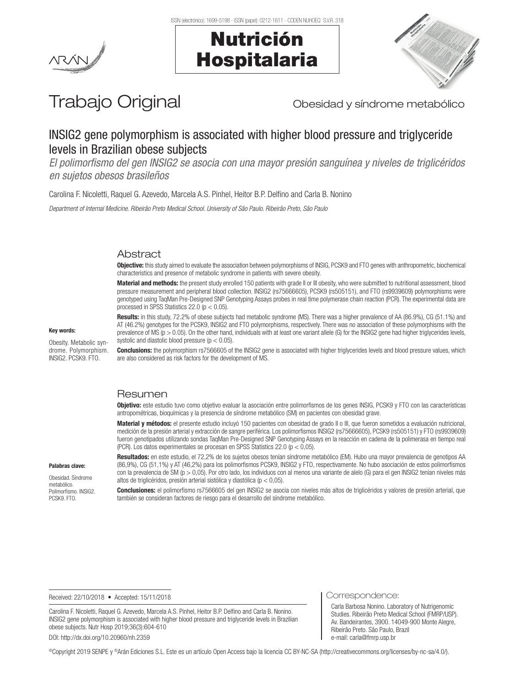



# Trabajo Original **Trabajo Original** Obesidad y síndrome metabólico

## INSIG2 gene polymorphism is associated with higher blood pressure and triglyceride levels in Brazilian obese subjects

*El polimorfismo del gen INSIG2 se asocia con una mayor presión sanguínea y niveles de triglicéridos en sujetos obesos brasileños*

Carolina F. Nicoletti, Raquel G. Azevedo, Marcela A.S. Pinhel, Heitor B.P. Delfino and Carla B. Nonino

*Department of Internal Medicine. Ribeirão Preto Medical School. University of São Paulo. Ribeirão Preto, São Paulo*

## Abstract

Objective: this study aimed to evaluate the association between polymorphisms of INSIG. PCSK9 and FTO genes with anthropometric, biochemical characteristics and presence of metabolic syndrome in patients with severe obesity.

Material and methods: the present study enrolled 150 patients with grade II or III obesity, who were submitted to nutritional assessment, blood pressure measurement and peripheral blood collection. INSIG2 (rs75666605), PCSK9 (rs505151), and FTO (rs9939609) polymorphisms were genotyped using TaqMan Pre-Designed SNP Genotyping Assays probes in real time polymerase chain reaction (PCR). The experimental data are processed in SPSS Statistics 22.0 (p < 0.05).

Obesity. Metabolic syn-Results: in this study, 72.2% of obese subjects had metabolic syndrome (MS). There was a higher prevalence of AA (86.9%), CG (51.1%) and AT (46.2%) genotypes for the PCSK9, INSIG2 and FTO polymorphisms, respectively. There was no association of these polymorphisms with the prevalence of MS ( $p > 0.05$ ). On the other hand, individuals with at least one variant allele (G) for the INSIG2 gene had higher triglycerides levels, systolic and diastolic blood pressure  $(p < 0.05)$ .

**Conclusions:** the polymorphism rs7566605 of the INSIG2 gene is associated with higher triglycerides levels and blood pressure values, which are also considered as risk factors for the development of MS.

#### Resumen

Objetivo: este estudio tuvo como objetivo evaluar la asociación entre polimorfismos de los genes INSIG, PCSK9 y FTO con las características antropométricas, bioquímicas y la presencia de síndrome metabólico (SM) en pacientes con obesidad grave.

Material y métodos: el presente estudio incluyó 150 pacientes con obesidad de grado II o III, que fueron sometidos a evaluación nutricional, medición de la presión arterial y extracción de sangre periférica. Los polimorfismos INSIG2 (rs75666605), PCSK9 (rs505151) y FTO (rs9939609) fueron genotipados utilizando sondas TaqMan Pre-Designed SNP Genotyping Assays en la reacción en cadena de la polimerasa en tiempo real (PCR). Los datos experimentales se procesan en SPSS Statistics 22.0 ( $p < 0.05$ ).

Palabras clave:

Key words:

drome. Polymorphism. INSIG2. PCSK9. FTO.

Obesidad. Síndrome metabólico. Polimorfismo. INSIG2. PCSK9. FTO.

Resultados: en este estudio, el 72,2% de los sujetos obesos tenían síndrome metabólico (EM). Hubo una mayor prevalencia de genotipos AA (86,9%), CG (51,1%) y AT (46,2%) para los polimorfismos PCSK9, INSIG2 y FTO, respectivamente. No hubo asociación de estos polimorfismos con la prevalencia de SM (p > 0,05). Por otro lado, los individuos con al menos una variante de alelo (G) para el gen INSIG2 tenían niveles más altos de triglicéridos, presión arterial sistólica y diastólica (p < 0,05).

Conclusiones: el polimorfismo rs7566605 del gen INSIG2 se asocia con niveles más altos de triglicéridos y valores de presión arterial, que también se consideran factores de riesgo para el desarrollo del síndrome metabólico.

Received: 22/10/2018 • Accepted: 15/11/2018

Carolina F. Nicoletti, Raquel G. Azevedo, Marcela A.S. Pinhel, Heitor B.P. Delfino and Carla B. Nonino. INSIG2 gene polymorphism is associated with higher blood pressure and triglyceride levels in Brazilian obese subjects. Nutr Hosp 2019;36(3):604-610 DOI: http://dx.doi.org/10.20960/nh.2359

Correspondence:

Carla Barbosa Nonino. Laboratory of Nutrigenomic Studies. Ribeirão Preto Medical School (FMRP/USP). Av. Bandeirantes, 3900. 14049-900 Monte Alegre, Ribeirão Preto. São Paulo, Brazil e-mail: carla@fmrp.usp.br

©Copyright 2019 SENPE y ©Arán Ediciones S.L. Este es un artículo Open Access bajo la licencia CC BY-NC-SA (http://creativecommons.org/licenses/by-nc-sa/4.0/).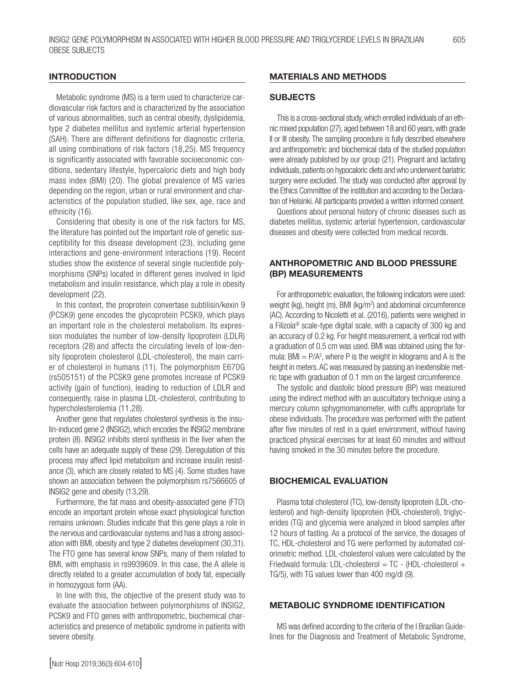#### **INTRODUCTION**

Metabolic syndrome (MS) is a term used to characterize cardiovascular risk factors and is characterized by the association of various abnormalities, such as central obesity, dyslipidemia, type 2 diabetes mellitus and systemic arterial hypertension (SAH). There are different definitions for diagnostic criteria, all using combinations of risk factors (18,25). MS frequency is significantly associated with favorable socioeconomic conditions, sedentary lifestyle, hypercaloric diets and high body mass index (BMI) (20). The global prevalence of MS varies depending on the region, urban or rural environment and characteristics of the population studied, like sex, age, race and ethnicity (16).

Considering that obesity is one of the risk factors for MS, the literature has pointed out the important role of genetic susceptibility for this disease development (23), including gene interactions and gene-environment interactions (19). Recent studies show the existence of several single nucleotide polymorphisms (SNPs) located in different genes involved in lipid metabolism and insulin resistance, which play a role in obesity development (22).

In this context, the proprotein convertase subtilisin/kexin 9 (PCSK9) gene encodes the glycoprotein PCSK9, which plays an important role in the cholesterol metabolism. Its expression modulates the number of low-density lipoprotein (LDLR) receptors (28) and affects the circulating levels of low-density lipoprotein cholesterol (LDL-cholesterol), the main carrier of cholesterol in humans (11). The polymorphism E670G (rs505151) of the PCSK9 gene promotes increase of PCSK9 activity (gain of function), leading to reduction of LDLR and consequently, raise in plasma LDL-cholesterol, contributing to hypercholesterolemia (11,28).

Another gene that regulates cholesterol synthesis is the insulin-induced gene 2 (INSIG2), which encodes the INSIG2 membrane protein (8). INSIG2 inhibits sterol synthesis in the liver when the cells have an adequate supply of these (29). Deregulation of this process may affect lipid metabolism and increase insulin resistance (3), which are closely related to MS (4). Some studies have shown an association between the polymorphism rs7566605 of INSIG2 gene and obesity (13,29).

Furthermore, the fat mass and obesity-associated gene (FTO) encode an important protein whose exact physiological function remains unknown. Studies indicate that this gene plays a role in the nervous and cardiovascular systems and has a strong association with BMI, obesity and type 2 diabetes development (30,31). The FTO gene has several know SNPs, many of them related to BMI, with emphasis in rs9939609. In this case, the A allele is directly related to a greater accumulation of body fat, especially in homozygous form (AA).

In line with this, the objective of the present study was to evaluate the association between polymorphisms of INSIG2, PCSK9 and FTO genes with anthropometric, biochemical characteristics and presence of metabolic syndrome in patients with severe obesity.

### MATERIALS AND METHODS

#### **SUBJECTS**

This is a cross-sectional study, which enrolled individuals of an ethnic mixed population (27), aged between 18 and 60 years, with grade II or III obesity. The sampling procedure is fully described elsewhere and anthropometric and biochemical data of the studied population were already published by our group (21). Pregnant and lactating individuals, patients on hypocaloric diets and who underwent bariatric surgery were excluded. The study was conducted after approval by the Ethics Committee of the institution and according to the Declaration of Helsinki. All participants provided a written informed consent.

Questions about personal history of chronic diseases such as diabetes mellitus, systemic arterial hypertension, cardiovascular diseases and obesity were collected from medical records.

## ANTHROPOMETRIC AND BLOOD PRESSURE (BP) MEASUREMENTS

For anthropometric evaluation, the following indicators were used: weight (kg), height (m), BMI (kg/m<sup>2</sup>) and abdominal circumference (AC). According to Nicoletti et al. (2016), patients were weighed in a Filizola® scale-type digital scale, with a capacity of 300 kg and an accuracy of 0.2 kg. For height measurement, a vertical rod with a graduation of 0.5 cm was used. BMI was obtained using the formula:  $BM = P/A<sup>2</sup>$ , where P is the weight in kilograms and A is the height in meters. AC was measured by passing an inextensible metric tape with graduation of 0.1 mm on the largest circumference.

The systolic and diastolic blood pressure (BP) was measured using the indirect method with an auscultatory technique using a mercury column sphygmomanometer, with cuffs appropriate for obese individuals. The procedure was performed with the patient after five minutes of rest in a quiet environment, without having practiced physical exercises for at least 60 minutes and without having smoked in the 30 minutes before the procedure.

#### BIOCHEMICAL EVALUATION

Plasma total cholesterol (TC), low-density lipoprotein (LDL-cholesterol) and high-density lipoprotein (HDL-cholesterol), triglycerides (TG) and glycemia were analyzed in blood samples after 12 hours of fasting. As a protocol of the service, the dosages of TC, HDL-cholesterol and TG were performed by automated colorimetric method. LDL-cholesterol values were calculated by the Friedwald formula: LDL-cholesterol = TC - (HDL-cholesterol + TG/5), with TG values lower than 400 mg/dl (9).

#### METABOLIC SYNDROME IDENTIFICATION

MS was defined according to the criteria of the I Brazilian Guidelines for the Diagnosis and Treatment of Metabolic Syndrome,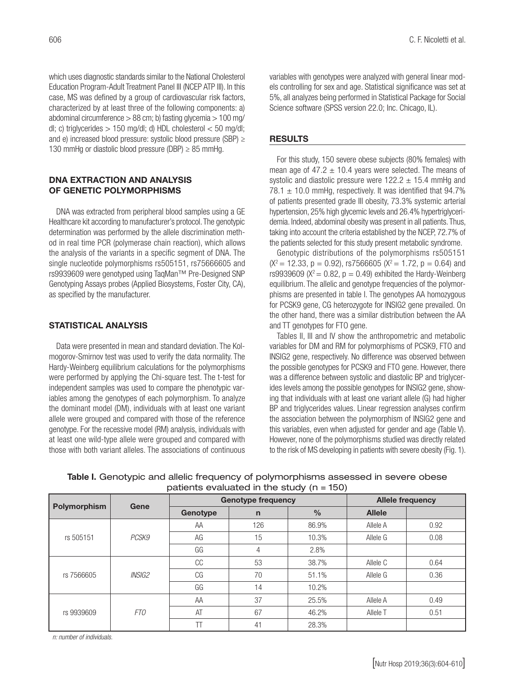which uses diagnostic standards similar to the National Cholesterol Education Program-Adult Treatment Panel III (NCEP ATP III). In this case, MS was defined by a group of cardiovascular risk factors, characterized by at least three of the following components: a) abdominal circumference > 88 cm; b) fasting glycemia > 100 mg/ dl; c) triglycerides  $> 150$  mg/dl; d) HDL cholesterol  $< 50$  mg/dl; and e) increased blood pressure: systolic blood pressure (SBP) ≥ 130 mmHg or diastolic blood pressure (DBP)  $\geq$  85 mmHg.

#### DNA EXTRACTION AND ANALYSIS OF GENETIC POLYMORPHISMS

DNA was extracted from peripheral blood samples using a GE Healthcare kit according to manufacturer's protocol. The genotypic determination was performed by the allele discrimination method in real time PCR (polymerase chain reaction), which allows the analysis of the variants in a specific segment of DNA. The single nucleotide polymorphisms rs505151, rs75666605 and rs9939609 were genotyped using TaqMan™ Pre-Designed SNP Genotyping Assays probes (Applied Biosystems, Foster City, CA), as specified by the manufacturer.

## STATISTICAL ANALYSIS

Data were presented in mean and standard deviation. The Kolmogorov-Smirnov test was used to verify the data normality. The Hardy-Weinberg equilibrium calculations for the polymorphisms were performed by applying the Chi-square test. The t-test for independent samples was used to compare the phenotypic variables among the genotypes of each polymorphism. To analyze the dominant model (DM), individuals with at least one variant allele were grouped and compared with those of the reference genotype. For the recessive model (RM) analysis, individuals with at least one wild-type allele were grouped and compared with those with both variant alleles. The associations of continuous

variables with genotypes were analyzed with general linear models controlling for sex and age. Statistical significance was set at 5%, all analyzes being performed in Statistical Package for Social Science software (SPSS version 22.0; Inc. Chicago, IL).

#### RESULTS

For this study, 150 severe obese subjects (80% females) with mean age of 47.2  $\pm$  10.4 years were selected. The means of systolic and diastolic pressure were  $122.2 \pm 15.4$  mmHq and 78.1  $\pm$  10.0 mmHg, respectively. It was identified that 94.7% of patients presented grade III obesity, 73.3% systemic arterial hypertension, 25% high glycemic levels and 26.4% hypertriglyceridemia. Indeed, abdominal obesity was present in all patients. Thus, taking into account the criteria established by the NCEP, 72.7% of the patients selected for this study present metabolic syndrome.

Genotypic distributions of the polymorphisms rs505151  $(X^2 = 12.33, p = 0.92)$ , rs7566605  $(X^2 = 1.72, p = 0.64)$  and rs9939609 ( $X^2 = 0.82$ ,  $p = 0.49$ ) exhibited the Hardy-Weinberg equilibrium. The allelic and genotype frequencies of the polymorphisms are presented in table I. The genotypes AA homozygous for PCSK9 gene, CG heterozygote for INSIG2 gene prevailed. On the other hand, there was a similar distribution between the AA and TT genotypes for FTO gene.

Tables II, III and IV show the anthropometric and metabolic variables for DM and RM for polymorphisms of PCSK9, FTO and INSIG2 gene, respectively. No difference was observed between the possible genotypes for PCSK9 and FTO gene. However, there was a difference between systolic and diastolic BP and triglycerides levels among the possible genotypes for INSIG2 gene, showing that individuals with at least one variant allele (G) had higher BP and triglycerides values. Linear regression analyses confirm the association between the polymorphism of INSIG2 gene and this variables, even when adjusted for gender and age (Table V). However, none of the polymorphisms studied was directly related to the risk of MS developing in patients with severe obesity (Fig. 1).

| $P = 100$    |                      |                           |              |               |                         |      |
|--------------|----------------------|---------------------------|--------------|---------------|-------------------------|------|
| Polymorphism | Gene                 | <b>Genotype frequency</b> |              |               | <b>Allele frequency</b> |      |
|              |                      | Genotype                  | $\mathsf{n}$ | $\frac{0}{0}$ | <b>Allele</b>           |      |
|              |                      | AA                        | 126          | 86.9%         | Allele A                | 0.92 |
| rs 505151    | PCSK9                | AG                        | 15           | 10.3%         | Allele G                | 0.08 |
| rs 7566605   |                      | GG                        | 4            | 2.8%          |                         |      |
|              | <i><b>INSIG2</b></i> | CC                        | 53           | 38.7%         | Allele C                | 0.64 |
|              |                      | CG                        | 70           | 51.1%         | Allele G                | 0.36 |
|              |                      | GG                        | 14           | 10.2%         |                         |      |
| rs 9939609   | FT0                  | AA                        | 37           | 25.5%         | Allele A                | 0.49 |
|              |                      | AT                        | 67           | 46.2%         | Allele T                | 0.51 |
|              |                      |                           | 41           | 28.3%         |                         |      |

Table I. Genotypic and allelic frequency of polymorphisms assessed in severe obese patients evaluated in the study  $(n = 150)$ 

*n: number of individuals.*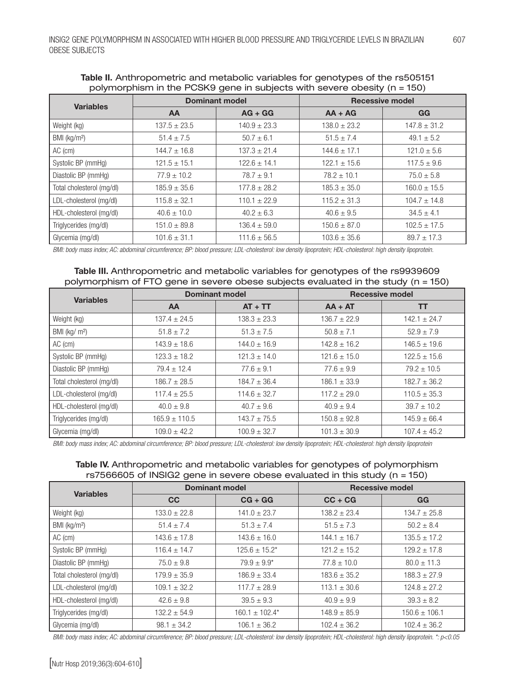| <b>Variables</b>          | <b>Dominant model</b> |                  | <b>Recessive model</b> |                  |
|---------------------------|-----------------------|------------------|------------------------|------------------|
|                           | <b>AA</b>             | $AG + GG$        | $AA + AG$              | <b>GG</b>        |
| Weight (kg)               | $137.5 \pm 23.5$      | $140.9 \pm 23.3$ | $138.0 \pm 23.2$       | $147.8 \pm 31.2$ |
| BMI (kg/m <sup>2</sup> )  | $51.4 \pm 7.5$        | $50.7 \pm 6.1$   | $51.5 \pm 7.4$         | $49.1 \pm 5.2$   |
| AC (cm)                   | $144.7 \pm 16.8$      | $137.3 \pm 21.4$ | $144.6 \pm 17.1$       | $121.0 \pm 5.6$  |
| Systolic BP (mmHg)        | $121.5 \pm 15.1$      | $122.6 \pm 14.1$ | $122.1 \pm 15.6$       | $117.5 \pm 9.6$  |
| Diastolic BP (mmHg)       | $77.9 \pm 10.2$       | $78.7 \pm 9.1$   | $78.2 \pm 10.1$        | $75.0 \pm 5.8$   |
| Total cholesterol (mg/dl) | $185.9 \pm 35.6$      | $177.8 \pm 28.2$ | $185.3 \pm 35.0$       | $160.0 \pm 15.5$ |
| LDL-cholesterol (mg/dl)   | $115.8 \pm 32.1$      | $110.1 \pm 22.9$ | $115.2 \pm 31.3$       | $104.7 \pm 14.8$ |
| HDL-cholesterol (mg/dl)   | $40.6 \pm 10.0$       | $40.2 \pm 6.3$   | $40.6 \pm 9.5$         | $34.5 \pm 4.1$   |
| Triglycerides (mg/dl)     | $151.0 \pm 89.8$      | $136.4 \pm 59.0$ | $150.6 \pm 87.0$       | $102.5 \pm 17.5$ |
| Glycemia (mg/dl)          | $101.6 \pm 31.1$      | $111.6 \pm 56.5$ | $103.6 \pm 35.6$       | $89.7 \pm 17.3$  |

#### Table II. Anthropometric and metabolic variables for genotypes of the rs505151 polymorphism in the PCSK9 gene in subjects with severe obesity (n = 150)

*BMI: body mass index; AC: abdominal circumference; BP: blood pressure; LDL-cholesterol: low density lipoprotein; HDL-cholesterol: high density lipoprotein.*

| Table III. Anthropometric and metabolic variables for genotypes of the rs9939609       |  |
|----------------------------------------------------------------------------------------|--|
| polymorphism of FTO gene in severe obese subjects evaluated in the study ( $n = 150$ ) |  |

|                           | <b>Dominant model</b> |                  | <b>Recessive model</b> |                  |
|---------------------------|-----------------------|------------------|------------------------|------------------|
| <b>Variables</b>          | <b>AA</b>             | $AT + TT$        | $AA + AT$              | <b>TT</b>        |
| Weight (kg)               | $137.4 \pm 24.5$      | $138.3 \pm 23.3$ | $136.7 \pm 22.9$       | $142.1 + 24.7$   |
| BMI ( $kg/m2$ )           | $51.8 \pm 7.2$        | $51.3 \pm 7.5$   | $50.8 \pm 7.1$         | $52.9 + 7.9$     |
| AC (cm)                   | $143.9 \pm 18.6$      | $144.0 \pm 16.9$ | $142.8 \pm 16.2$       | $146.5 \pm 19.6$ |
| Systolic BP (mmHg)        | $123.3 \pm 18.2$      | $121.3 \pm 14.0$ | $121.6 \pm 15.0$       | $122.5 \pm 15.6$ |
| Diastolic BP (mmHg)       | $79.4 \pm 12.4$       | $77.6 \pm 9.1$   | $77.6 \pm 9.9$         | $79.2 \pm 10.5$  |
| Total cholesterol (mg/dl) | $186.7 \pm 28.5$      | $184.7 \pm 36.4$ | $186.1 \pm 33.9$       | $182.7 \pm 36.2$ |
| LDL-cholesterol (mg/dl)   | $117.4 \pm 25.5$      | $114.6 \pm 32.7$ | $117.2 \pm 29.0$       | $110.5 \pm 35.3$ |
| HDL-cholesterol (mg/dl)   | $40.0 \pm 9.8$        | $40.7 \pm 9.6$   | $40.9 \pm 9.4$         | $39.7 \pm 10.2$  |
| Triglycerides (mg/dl)     | $165.9 \pm 110.5$     | $143.7 \pm 75.5$ | $150.8 \pm 92.8$       | $145.9 \pm 66.4$ |
| Glycemia (mg/dl)          | $109.0 \pm 42.2$      | $100.9 \pm 32.7$ | $101.3 \pm 30.9$       | $107.4 \pm 45.2$ |

*BMI: body mass index; AC: abdominal circumference; BP: blood pressure; LDL-cholesterol: low density lipoprotein; HDL-cholesterol: high density lipoprotein*

## Table IV. Anthropometric and metabolic variables for genotypes of polymorphism rs7566605 of INSIG2 gene in severe obese evaluated in this study (n = 150)

| <b>Variables</b>          | <b>Dominant model</b> |                     | <b>Recessive model</b> |                   |
|---------------------------|-----------------------|---------------------|------------------------|-------------------|
|                           | <b>CC</b>             | $CG + GG$           | $CC + CG$              | GG                |
| Weight (kg)               | $133.0 \pm 22.8$      | $141.0 \pm 23.7$    | $138.2 \pm 23.4$       | $134.7 \pm 25.8$  |
| BMI ( $kg/m2$ )           | $51.4 \pm 7.4$        | $51.3 \pm 7.4$      | $51.5 \pm 7.3$         | $50.2 \pm 8.4$    |
| AC (cm)                   | $143.6 \pm 17.8$      | $143.6 \pm 16.0$    | $144.1 \pm 16.7$       | $135.5 \pm 17.2$  |
| Systolic BP (mmHg)        | $116.4 \pm 14.7$      | $125.6 \pm 15.2^*$  | $121.2 \pm 15.2$       | $129.2 \pm 17.8$  |
| Diastolic BP (mmHg)       | $75.0 \pm 9.8$        | $79.9 \pm 9.9^*$    | $77.8 \pm 10.0$        | $80.0 \pm 11.3$   |
| Total cholesterol (mg/dl) | $179.9 \pm 35.9$      | $186.9 \pm 33.4$    | $183.6 \pm 35.2$       | $188.3 \pm 27.9$  |
| LDL-cholesterol (mg/dl)   | $109.1 \pm 32.2$      | $117.7 \pm 28.9$    | $113.1 \pm 30.6$       | $124.8 \pm 27.2$  |
| HDL-cholesterol (mg/dl)   | $42.6 \pm 9.8$        | $39.5 \pm 9.3$      | $40.9 \pm 9.9$         | $39.3 \pm 8.2$    |
| Triglycerides (mg/dl)     | $132.2 \pm 54.9$      | $160.1 \pm 102.4^*$ | $148.9 \pm 85.9$       | $150.6 \pm 106.1$ |
| Glycemia (mg/dl)          | $98.1 \pm 34.2$       | $106.1 \pm 36.2$    | $102.4 \pm 36.2$       | $102.4 \pm 36.2$  |

*BMI: body mass index; AC: abdominal circumference; BP: blood pressure; LDL-cholesterol: low density lipoprotein; HDL-cholesterol: high density lipoprotein. \*: p<0.05*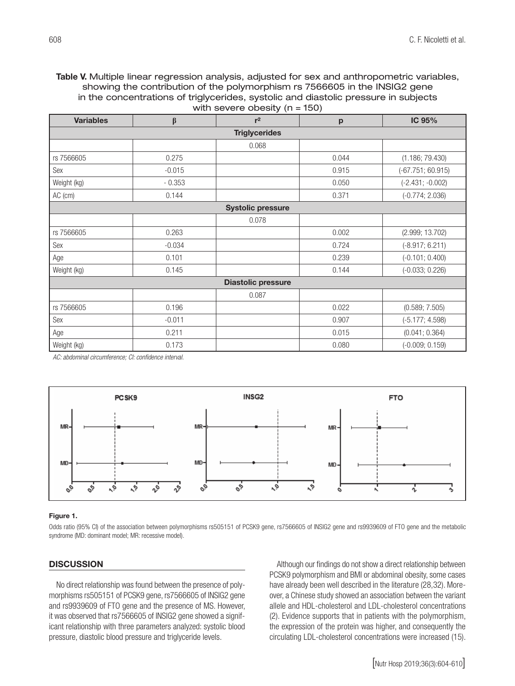#### Table V. Multiple linear regression analysis, adjusted for sex and anthropometric variables, showing the contribution of the polymorphism rs 7566605 in the INSIG2 gene in the concentrations of triglycerides, systolic and diastolic pressure in subjects with severe obesity  $(n = 150)$

| <b>Variables</b>          | $\boldsymbol{\beta}$ | $r^2$ | $-1$<br>p | IC 95%              |  |  |
|---------------------------|----------------------|-------|-----------|---------------------|--|--|
| <b>Triglycerides</b>      |                      |       |           |                     |  |  |
|                           |                      | 0.068 |           |                     |  |  |
| rs 7566605                | 0.275                |       | 0.044     | (1.186; 79.430)     |  |  |
| Sex                       | $-0.015$             |       | 0.915     | $(-67.751; 60.915)$ |  |  |
| Weight (kg)               | $-0.353$             |       | 0.050     | $(-2.431; -0.002)$  |  |  |
| AC (cm)                   | 0.144                |       | 0.371     | $(-0.774; 2.036)$   |  |  |
| <b>Systolic pressure</b>  |                      |       |           |                     |  |  |
|                           |                      | 0.078 |           |                     |  |  |
| rs 7566605                | 0.263                |       | 0.002     | (2.999; 13.702)     |  |  |
| Sex                       | $-0.034$             |       | 0.724     | $(-8.917; 6.211)$   |  |  |
| Age                       | 0.101                |       | 0.239     | $(-0.101; 0.400)$   |  |  |
| Weight (kg)               | 0.145                |       | 0.144     | $(-0.033; 0.226)$   |  |  |
| <b>Diastolic pressure</b> |                      |       |           |                     |  |  |
|                           |                      | 0.087 |           |                     |  |  |
| rs 7566605                | 0.196                |       | 0.022     | (0.589; 7.505)      |  |  |
| Sex                       | $-0.011$             |       | 0.907     | $(-5.177; 4.598)$   |  |  |
| Age                       | 0.211                |       | 0.015     | (0.041; 0.364)      |  |  |
| Weight (kg)               | 0.173                |       | 0.080     | $(-0.009; 0.159)$   |  |  |

*AC: abdominal circumference; CI: confidence interval.*



#### Figure 1.

Odds ratio (95% CI) of the association between polymorphisms rs505151 of PCSK9 gene, rs7566605 of INSIG2 gene and rs9939609 of FTO gene and the metabolic syndrome (MD: dominant model; MR: recessive model).

#### **DISCUSSION**

No direct relationship was found between the presence of polymorphisms rs505151 of PCSK9 gene, rs7566605 of INSIG2 gene and rs9939609 of FTO gene and the presence of MS. However, it was observed that rs7566605 of INSIG2 gene showed a significant relationship with three parameters analyzed: systolic blood pressure, diastolic blood pressure and triglyceride levels.

Although our findings do not show a direct relationship between PCSK9 polymorphism and BMI or abdominal obesity, some cases have already been well described in the literature (28,32). Moreover, a Chinese study showed an association between the variant allele and HDL-cholesterol and LDL-cholesterol concentrations (2). Evidence supports that in patients with the polymorphism, the expression of the protein was higher, and consequently the circulating LDL-cholesterol concentrations were increased (15).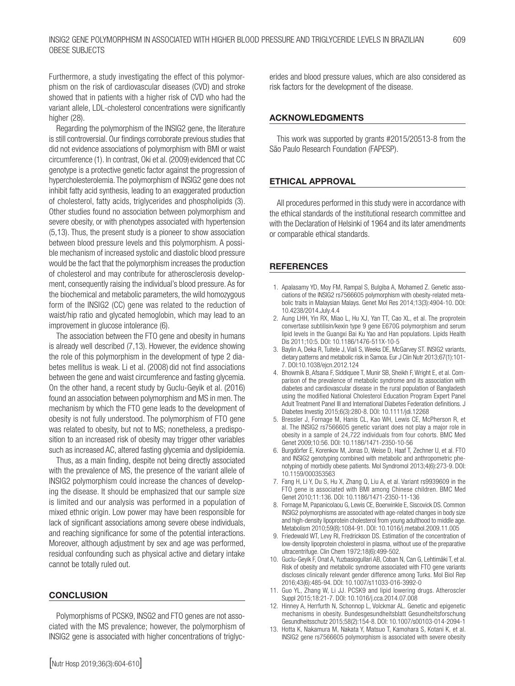Furthermore, a study investigating the effect of this polymorphism on the risk of cardiovascular diseases (CVD) and stroke showed that in patients with a higher risk of CVD who had the variant allele, LDL-cholesterol concentrations were significantly higher (28).

Regarding the polymorphism of the INSIG2 gene, the literature is still controversial. Our findings corroborate previous studies that did not evidence associations of polymorphism with BMI or waist circumference (1). In contrast, Oki et al. (2009)evidenced that CC genotype is a protective genetic factor against the progression of hypercholesterolemia. The polymorphism of INSIG2 gene does not inhibit fatty acid synthesis, leading to an exaggerated production of cholesterol, fatty acids, triglycerides and phospholipids (3). Other studies found no association between polymorphism and severe obesity, or with phenotypes associated with hypertension (5,13). Thus, the present study is a pioneer to show association between blood pressure levels and this polymorphism. A possible mechanism of increased systolic and diastolic blood pressure would be the fact that the polymorphism increases the production of cholesterol and may contribute for atherosclerosis development, consequently raising the individual's blood pressure. As for the biochemical and metabolic parameters, the wild homozygous form of the INSIG2 (CC) gene was related to the reduction of waist/hip ratio and glycated hemoglobin, which may lead to an improvement in glucose intolerance (6).

The association between the FTO gene and obesity in humans is already well described (7,13). However, the evidence showing the role of this polymorphism in the development of type 2 diabetes mellitus is weak. Li et al. (2008) did not find associations between the gene and waist circumference and fasting glycemia. On the other hand, a recent study by Guclu-Geyik et al. (2016) found an association between polymorphism and MS in men. The mechanism by which the FTO gene leads to the development of obesity is not fully understood. The polymorphism of FTO gene was related to obesity, but not to MS; nonetheless, a predisposition to an increased risk of obesity may trigger other variables such as increased AC, altered fasting glycemia and dyslipidemia.

Thus, as a main finding, despite not being directly associated with the prevalence of MS, the presence of the variant allele of INSIG2 polymorphism could increase the chances of developing the disease. It should be emphasized that our sample size is limited and our analysis was performed in a population of mixed ethnic origin. Low power may have been responsible for lack of significant associations among severe obese individuals, and reaching significance for some of the potential interactions. Moreover, although adjustment by sex and age was performed, residual confounding such as physical active and dietary intake cannot be totally ruled out.

#### **CONCLUSION**

Polymorphisms of PCSK9, INSG2 and FTO genes are not associated with the MS prevalence; however, the polymorphism of INSIG2 gene is associated with higher concentrations of triglycerides and blood pressure values, which are also considered as risk factors for the development of the disease.

## ACKNOWLEDGMENTS

This work was supported by grants #2015/20513-8 from the São Paulo Research Foundation (FAPESP).

## ETHICAL APPROVAL

All procedures performed in this study were in accordance with the ethical standards of the institutional research committee and with the Declaration of Helsinki of 1964 and its later amendments or comparable ethical standards.

#### **REFERENCES**

- 1. Apalasamy YD, Moy FM, Rampal S, Bulgiba A, Mohamed Z. Genetic associations of the INSIG2 rs7566605 polymorphism with obesity-related metabolic traits in Malaysian Malays. Genet Mol Res 2014;13(3):4904-10. DOI: 10.4238/2014.July.4.4
- 2. Aung LHH, Yin RX, Miao L, Hu XJ, Yan TT, Cao XL, et al. The proprotein convertase subtilisin/kexin type 9 gene E670G polymorphism and serum lipid levels in the Guangxi Bai Ku Yao and Han populations. Lipids Health Dis 2011;10:5. DOI: 10.1186/1476-511X-10-5
- 3. Baylin A, Deka R, Tuitele J, Viali S, Weeks DE, McGarvey ST. INSIG2 variants, dietary patterns and metabolic risk in Samoa. Eur J Clin Nutr 2013;67(1):101- 7. DOI:10.1038/ejcn.2012.124
- 4. Bhowmik B, Afsana F, Siddiquee T, Munir SB, Sheikh F, Wright E, et al. Comparison of the prevalence of metabolic syndrome and its association with diabetes and cardiovascular disease in the rural population of Bangladesh using the modified National Cholesterol Education Program Expert Panel Adult Treatment Panel III and International Diabetes Federation definitions. J Diabetes Investig 2015;6(3):280-8. DOI: 10.1111/jdi.12268
- 5. Bressler J, Fornage M, Hanis CL, Kao WH, Lewis CE, McPherson R, et al. The INSIG2 rs7566605 genetic variant does not play a major role in obesity in a sample of 24,722 individuals from four cohorts. BMC Med Genet 2009;10:56. DOI: 10.1186/1471-2350-10-56
- 6. Burgdörfer E, Korenkov M, Jonas D, Weise D, Haaf T, Zechner U, et al. FTO and INSIG2 genotyping combined with metabolic and anthropometric phenotyping of morbidly obese patients. Mol Syndromol 2013;4(6):273-9. DOI: 10.1159/000353563
- 7. Fang H, Li Y, Du S, Hu X, Zhang Q, Liu A, et al. Variant rs9939609 in the FTO gene is associated with BMI among Chinese children. BMC Med Genet 2010;11:136. DOI: 10.1186/1471-2350-11-136
- 8. Fornage M, Papanicolaou G, Lewis CE, Boerwinkle E, Siscovick DS. Common INSIG2 polymorphisms are associated with age-related changes in body size and high-density lipoprotein cholesterol from young adulthood to middle age. Metabolism 2010;59(8):1084-91. DOI: 10.1016/j.metabol.2009.11.005
- 9. Friedewald WT, Levy RI, Fredrickson DS. Estimation of the concentration of low-density lipoprotein cholesterol in plasma, without use of the preparative ultracentrifuge. Clin Chem 1972;18(6):499-502.
- 10. Guclu-Geyik F, Onat A, Yuzbasiogullari AB, Coban N, Can G, Lehtimäki T, et al. Risk of obesity and metabolic syndrome associated with FTO gene variants discloses clinically relevant gender difference among Turks. Mol Biol Rep 2016;43(6):485-94. DOI: 10.1007/s11033-016-3992-0
- 11. Guo YL, Zhang W, Li JJ. PCSK9 and lipid lowering drugs. Atheroscler Suppl 2015;18:21-7. DOI: 10.1016/j.cca.2014.07.008
- 12. Hinney A, Herrfurth N, Schonnop L, Volckmar AL. Genetic and epigenetic mechanisms in obesity. Bundesgesundheitsblatt Gesundheitsforschung Gesundheitsschutz 2015;58(2):154-8. DOI: 10.1007/s00103-014-2094-1
- 13. Hotta K, Nakamura M, Nakata Y, Matsuo T, Kamohara S, Kotani K, et al. INSIG2 gene rs7566605 polymorphism is associated with severe obesity